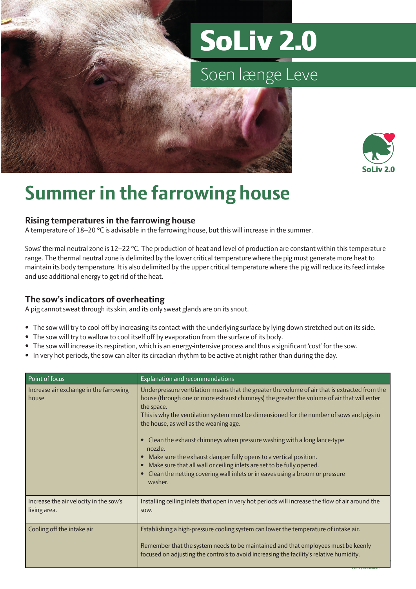# SoLiv 2.0

### Soen længe Leve



## **Summer in the farrowing house**

#### **Rising temperatures in the farrowing house**

A temperature of 18–20 °C is advisable in the farrowing house, but this will increase in the summer.

Sows' thermal neutral zone is 12–22 °C. The production of heat and level of production are constant within this temperature range. The thermal neutral zone is delimited by the lower critical temperature where the pig must generate more heat to maintain its body temperature. It is also delimited by the upper critical temperature where the pig will reduce its feed intake and use additional energy to get rid of the heat.

### **The sow's indicators of overheating**

A pig cannot sweat through its skin, and its only sweat glands are on its snout.

- The sow will try to cool off by increasing its contact with the underlying surface by lying down stretched out on its side.
- The sow will try to wallow to cool itself off by evaporation from the surface of its body.
- The sow will increase its respiration, which is an energy-intensive process and thus a significant 'cost' for the sow.
- In very hot periods, the sow can alter its circadian rhythm to be active at night rather than during the day.

| Point of focus                                         | Explanation and recommendations                                                                                                                                                                                                                                                                                                                                                                                                                                                                                                                                                                                                                                                               |
|--------------------------------------------------------|-----------------------------------------------------------------------------------------------------------------------------------------------------------------------------------------------------------------------------------------------------------------------------------------------------------------------------------------------------------------------------------------------------------------------------------------------------------------------------------------------------------------------------------------------------------------------------------------------------------------------------------------------------------------------------------------------|
| Increase air exchange in the farrowing<br>house        | Underpressure ventilation means that the greater the volume of air that is extracted from the<br>house (through one or more exhaust chimneys) the greater the volume of air that will enter<br>the space.<br>This is why the ventilation system must be dimensioned for the number of sows and pigs in<br>the house, as well as the weaning age.<br>• Clean the exhaust chimneys when pressure washing with a long lance-type<br>nozzle.<br>Make sure the exhaust damper fully opens to a vertical position.<br>$\bullet$<br>Make sure that all wall or ceiling inlets are set to be fully opened.<br>Clean the netting covering wall inlets or in eaves using a broom or pressure<br>washer. |
| Increase the air velocity in the sow's<br>living area. | Installing ceiling inlets that open in very hot periods will increase the flow of air around the<br>SOW.                                                                                                                                                                                                                                                                                                                                                                                                                                                                                                                                                                                      |
| Cooling off the intake air                             | Establishing a high-pressure cooling system can lower the temperature of intake air.<br>Remember that the system needs to be maintained and that employees must be keenly<br>focused on adjusting the controls to avoid increasing the facility's relative humidity.                                                                                                                                                                                                                                                                                                                                                                                                                          |